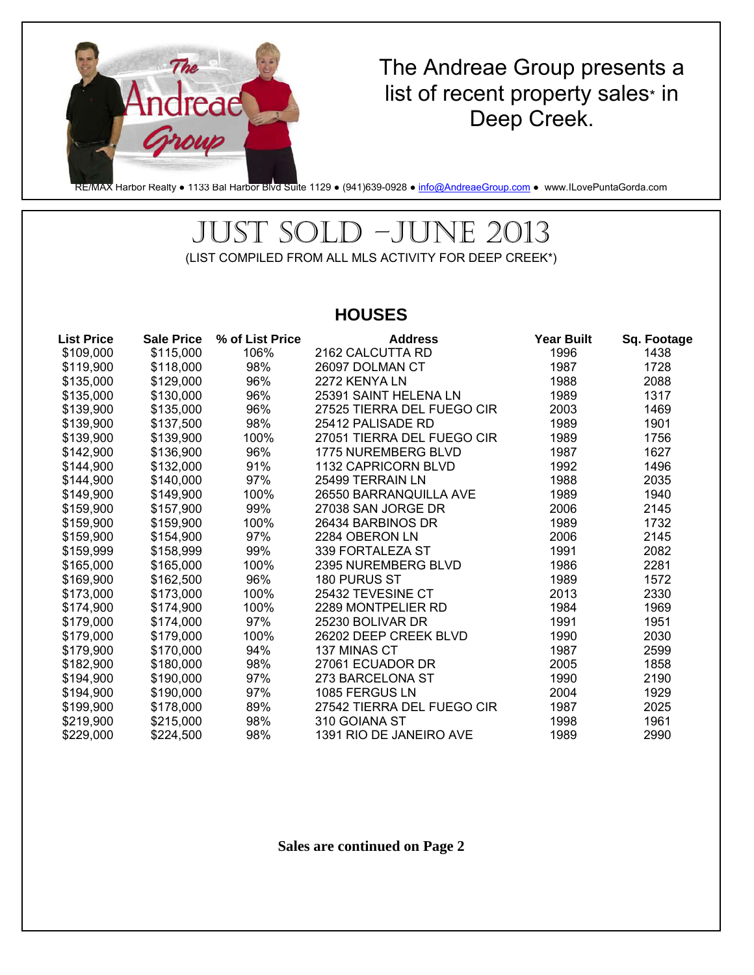

## The Andreae Group presents a list of recent property sales\* in Deep Creek.

RE/MAX Harbor Realty • 1133 Bal Harbor Blvd Suite 1129 • (941)639-0928 • info@AndreaeGroup.com • www.ILovePuntaGorda.com

## JUST SOLD –JUNE 2013 (LIST COMPILED FROM ALL MLS ACTIVITY FOR DEEP CREEK\*)

### **HOUSES**

| <b>List Price</b> | <b>Sale Price</b> | % of List Price | <b>Address</b>             | <b>Year Built</b> | Sq. Footage |
|-------------------|-------------------|-----------------|----------------------------|-------------------|-------------|
| \$109,000         | \$115,000         | 106%            | 2162 CALCUTTA RD           | 1996              | 1438        |
| \$119,900         | \$118,000         | 98%             | 26097 DOLMAN CT            | 1987              | 1728        |
| \$135,000         | \$129,000         | 96%             | 2272 KENYA LN              | 1988              | 2088        |
| \$135,000         | \$130,000         | 96%             | 25391 SAINT HELENA LN      | 1989              | 1317        |
| \$139,900         | \$135,000         | 96%             | 27525 TIERRA DEL FUEGO CIR | 2003              | 1469        |
| \$139,900         | \$137,500         | 98%             | 25412 PALISADE RD          | 1989              | 1901        |
| \$139,900         | \$139,900         | 100%            | 27051 TIERRA DEL FUEGO CIR | 1989              | 1756        |
| \$142,900         | \$136,900         | 96%             | 1775 NUREMBERG BLVD        | 1987              | 1627        |
| \$144,900         | \$132,000         | 91%             | 1132 CAPRICORN BLVD        | 1992              | 1496        |
| \$144,900         | \$140,000         | 97%             | 25499 TERRAIN LN           | 1988              | 2035        |
| \$149,900         | \$149,900         | 100%            | 26550 BARRANQUILLA AVE     | 1989              | 1940        |
| \$159,900         | \$157,900         | 99%             | 27038 SAN JORGE DR         | 2006              | 2145        |
| \$159,900         | \$159,900         | 100%            | 26434 BARBINOS DR          | 1989              | 1732        |
| \$159,900         | \$154,900         | 97%             | 2284 OBERON LN             | 2006              | 2145        |
| \$159,999         | \$158,999         | 99%             | 339 FORTALEZA ST           | 1991              | 2082        |
| \$165,000         | \$165,000         | 100%            | 2395 NUREMBERG BLVD        | 1986              | 2281        |
| \$169,900         | \$162,500         | 96%             | 180 PURUS ST               | 1989              | 1572        |
| \$173,000         | \$173,000         | 100%            | 25432 TEVESINE CT          | 2013              | 2330        |
| \$174,900         | \$174,900         | 100%            | 2289 MONTPELIER RD         | 1984              | 1969        |
| \$179,000         | \$174,000         | 97%             | 25230 BOLIVAR DR           | 1991              | 1951        |
| \$179,000         | \$179,000         | 100%            | 26202 DEEP CREEK BLVD      | 1990              | 2030        |
| \$179,900         | \$170,000         | 94%             | 137 MINAS CT               | 1987              | 2599        |
| \$182,900         | \$180,000         | 98%             | 27061 ECUADOR DR           | 2005              | 1858        |
| \$194,900         | \$190,000         | 97%             | 273 BARCELONA ST           | 1990              | 2190        |
| \$194,900         | \$190,000         | 97%             | 1085 FERGUS LN             | 2004              | 1929        |
| \$199,900         | \$178,000         | 89%             | 27542 TIERRA DEL FUEGO CIR | 1987              | 2025        |
| \$219,900         | \$215,000         | 98%             | 310 GOIANA ST              | 1998              | 1961        |
| \$229,000         | \$224,500         | 98%             | 1391 RIO DE JANEIRO AVE    | 1989              | 2990        |

**Sales are continued on Page 2**